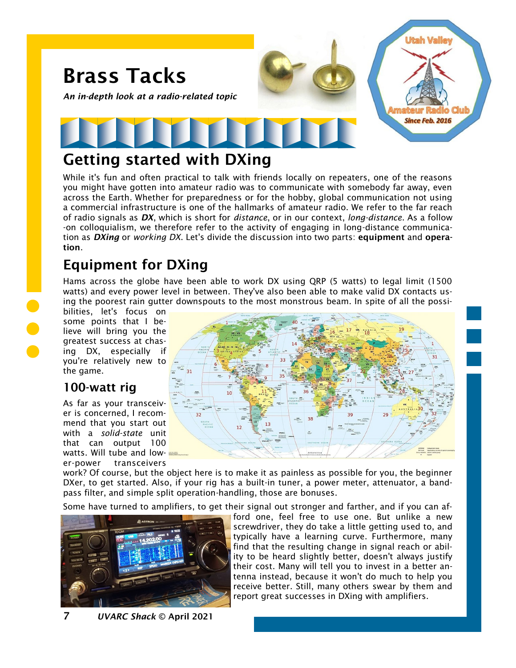

## Getting started with DXing

While it's fun and often practical to talk with friends locally on repeaters, one of the reasons you might have gotten into amateur radio was to communicate with somebody far away, even across the Earth. Whether for preparedness or for the hobby, global communication not using a commercial infrastructure is one of the hallmarks of amateur radio. We refer to the far reach of radio signals as *DX*, which is short for *distance*, or in our context, *long-distance*. As a follow -on colloquialism, we therefore refer to the activity of engaging in long-distance communication as *DXing* or *working DX*. Let's divide the discussion into two parts: equipment and operation.

# Equipment for DXing

Hams across the globe have been able to work DX using QRP (5 watts) to legal limit (1500 watts) and every power level in between. They've also been able to make valid DX contacts using the poorest rain gutter downspouts to the most monstrous beam. In spite of all the possi-

bilities, let's focus on some points that I believe will bring you the greatest success at chasing DX, especially if you're relatively new to the game.

### 100-watt rig

As far as your transceiver is concerned, I recommend that you start out with a *solid-state* unit that can output 100 watts. Will tube and lower-power transceivers



work? Of course, but the object here is to make it as painless as possible for you, the beginner DXer, to get started. Also, if your rig has a built-in tuner, a power meter, attenuator, a bandpass filter, and simple split operation-handling, those are bonuses.

Some have turned to amplifiers, to get their signal out stronger and farther, and if you can af-



ford one, feel free to use one. But unlike a new screwdriver, they do take a little getting used to, and typically have a learning curve. Furthermore, many find that the resulting change in signal reach or ability to be heard slightly better, doesn't always justify their cost. Many will tell you to invest in a better antenna instead, because it won't do much to help you receive better. Still, many others swear by them and report great successes in DXing with amplifiers.

7 *UVARC Shack* © April 2021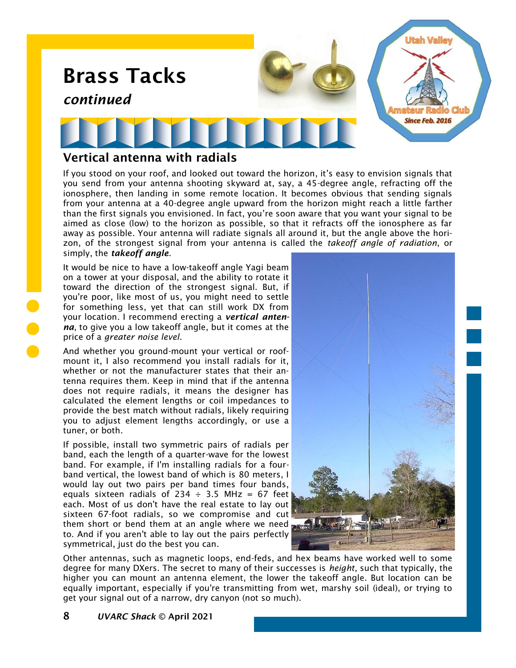

## Vertical antenna with radials

If you stood on your roof, and looked out toward the horizon, it's easy to envision signals that you send from your antenna shooting skyward at, say, a 45-degree angle, refracting off the ionosphere, then landing in some remote location. It becomes obvious that sending signals from your antenna at a 40-degree angle upward from the horizon might reach a little farther than the first signals you envisioned. In fact, you're soon aware that you want your signal to be aimed as close (low) to the horizon as possible, so that it refracts off the ionosphere as far away as possible. Your antenna will radiate signals all around it, but the angle above the horizon, of the strongest signal from your antenna is called the *takeoff angle of radiation*, or simply, the *takeoff angle*.

It would be nice to have a low-takeoff angle Yagi beam on a tower at your disposal, and the ability to rotate it toward the direction of the strongest signal. But, if you're poor, like most of us, you might need to settle for something less, yet that can still work DX from your location. I recommend erecting a *vertical antenna*, to give you a low takeoff angle, but it comes at the price of a *greater noise level*.

And whether you ground-mount your vertical or roofmount it, I also recommend you install radials for it, whether or not the manufacturer states that their antenna requires them. Keep in mind that if the antenna does not require radials, it means the designer has calculated the element lengths or coil impedances to provide the best match without radials, likely requiring you to adjust element lengths accordingly, or use a tuner, or both.

If possible, install two symmetric pairs of radials per band, each the length of a quarter-wave for the lowest band. For example, if I'm installing radials for a fourband vertical, the lowest band of which is 80 meters, I would lay out two pairs per band times four bands, equals sixteen radials of 234  $\div$  3.5 MHz = 67 feet each. Most of us don't have the real estate to lay out sixteen 67-foot radials, so we compromise and cut them short or bend them at an angle where we need to. And if you aren't able to lay out the pairs perfectly symmetrical, just do the best you can.



Other antennas, such as magnetic loops, end-feds, and hex beams have worked well to some degree for many DXers. The secret to many of their successes is *height*, such that typically, the higher you can mount an antenna element, the lower the takeoff angle. But location can be equally important, especially if you're transmitting from wet, marshy soil (ideal), or trying to get your signal out of a narrow, dry canyon (not so much).

8 *UVARC Shack* © April 2021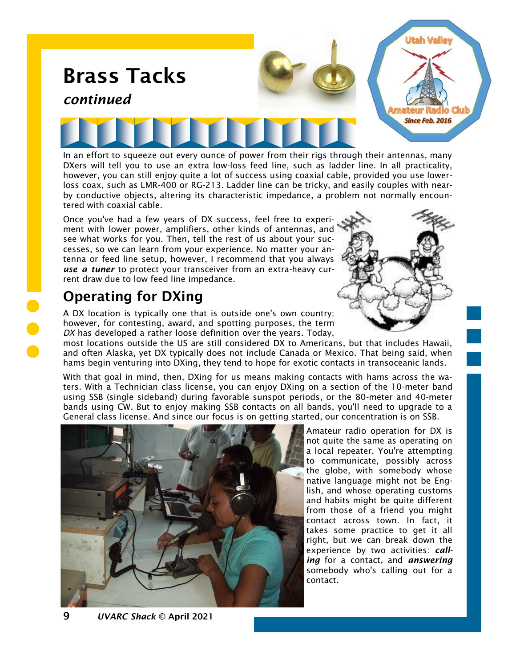

by conductive objects, altering its characteristic impedance, a problem not normally encountered with coaxial cable. Once you've had a few years of DX success, feel free to experiment with lower power, amplifiers, other kinds of antennas, and see what works for you. Then, tell the rest of us about your successes, so we can learn from your experience. No matter your an-

# Operating for DXing

rent draw due to low feed line impedance.

A DX location is typically one that is outside one's own country; however, for contesting, award, and spotting purposes, the term *DX* has developed a rather loose definition over the years. Today,

tenna or feed line setup, however, I recommend that you always *use a tuner* to protect your transceiver from an extra-heavy cur-

most locations outside the US are still considered DX to Americans, but that includes Hawaii, and often Alaska, yet DX typically does not include Canada or Mexico. That being said, when hams begin venturing into DXing, they tend to hope for exotic contacts in transoceanic lands.

With that goal in mind, then, DXing for us means making contacts with hams across the waters. With a Technician class license, you can enjoy DXing on a section of the 10-meter band using SSB (single sideband) during favorable sunspot periods, or the 80-meter and 40-meter bands using CW. But to enjoy making SSB contacts on all bands, you'll need to upgrade to a General class license. And since our focus is on getting started, our concentration is on SSB.



Amateur radio operation for DX is not quite the same as operating on a local repeater. You're attempting to communicate, possibly across the globe, with somebody whose native language might not be English, and whose operating customs and habits might be quite different from those of a friend you might contact across town. In fact, it takes some practice to get it all right, but we can break down the experience by two activities: *calling* for a contact, and *answering* somebody who's calling out for a contact.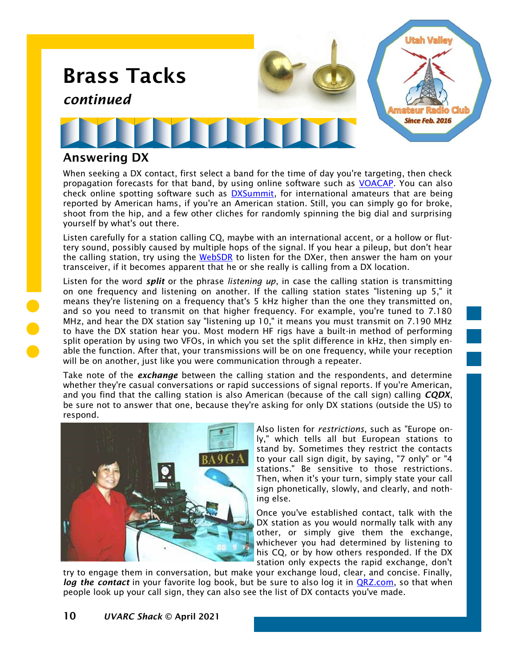

#### Answering DX

When seeking a DX contact, first select a band for the time of day you're targeting, then check propagation forecasts for that band, by using online software such as [VOACAP.](https://www.voacap.com/) You can also check online spotting software such as [DXSummit,](http://www.dxsummit.fi/#/) for international amateurs that are being reported by American hams, if you're an American station. Still, you can simply go for broke, shoot from the hip, and a few other cliches for randomly spinning the big dial and surprising yourself by what's out there.

Listen carefully for a station calling CQ, maybe with an international accent, or a hollow or fluttery sound, possibly caused by multiple hops of the signal. If you hear a pileup, but don't hear the calling station, try using the [WebSDR](http://www.sdrutah.org/) to listen for the DXer, then answer the ham on your transceiver, if it becomes apparent that he or she really is calling from a DX location.

Listen for the word *split* or the phrase *listening up*, in case the calling station is transmitting on one frequency and listening on another. If the calling station states "listening up 5," it means they're listening on a frequency that's 5 kHz higher than the one they transmitted on, and so you need to transmit on that higher frequency. For example, you're tuned to 7.180 MHz, and hear the DX station say "listening up 10," it means you must transmit on 7.190 MHz to have the DX station hear you. Most modern HF rigs have a built-in method of performing split operation by using two VFOs, in which you set the split difference in kHz, then simply enable the function. After that, your transmissions will be on one frequency, while your reception will be on another, just like you were communication through a repeater.

Take note of the *exchange* between the calling station and the respondents, and determine whether they're casual conversations or rapid successions of signal reports. If you're American, and you find that the calling station is also American (because of the call sign) calling *CQDX*, be sure not to answer that one, because they're asking for only DX stations (outside the US) to respond.



Also listen for *restrictions*, such as "Europe only," which tells all but European stations to stand by. Sometimes they restrict the contacts to your call sign digit, by saying, "7 only" or "4 stations." Be sensitive to those restrictions. Then, when it's your turn, simply state your call sign phonetically, slowly, and clearly, and nothing else.

Once you've established contact, talk with the DX station as you would normally talk with any other, or simply give them the exchange, whichever you had determined by listening to his CQ, or by how others responded. If the DX station only expects the rapid exchange, don't

try to engage them in conversation, but make your exchange loud, clear, and concise. Finally, log the contact in your favorite log book, but be sure to also log it in **QRZ.com**, so that when people look up your call sign, they can also see the list of DX contacts you've made.